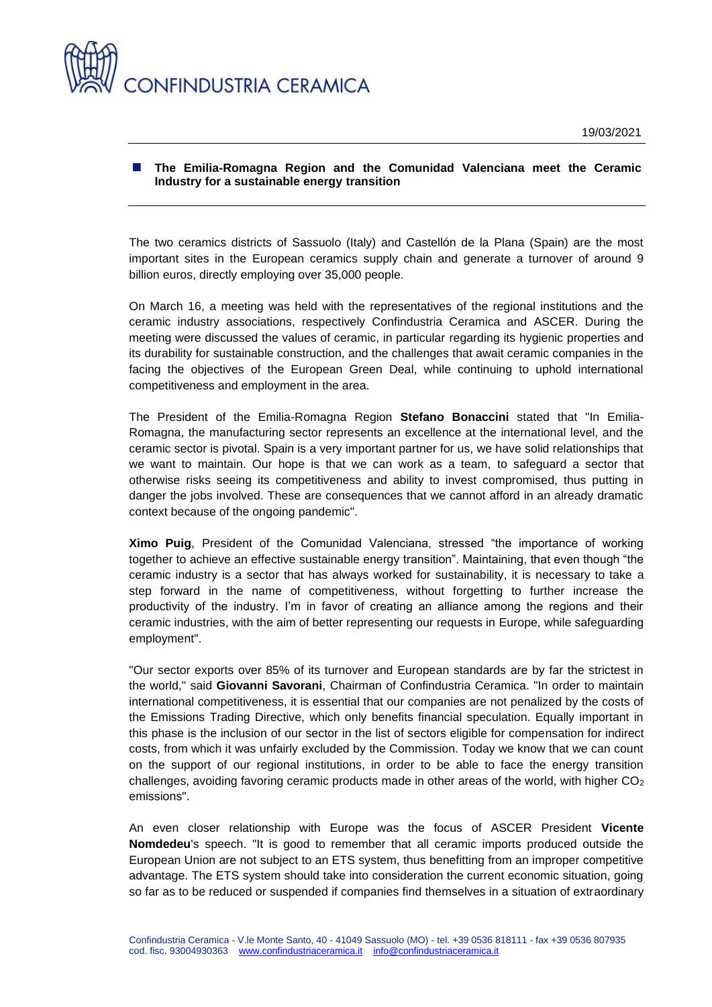

## **The Emilia-Romagna Region and the Comunidad Valenciana meet the Ceramic Industry for a sustainable energy transition**

The two ceramics districts of Sassuolo (Italy) and Castellón de la Plana (Spain) are the most important sites in the European ceramics supply chain and generate a turnover of around 9 billion euros, directly employing over 35,000 people.

On March 16, a meeting was held with the representatives of the regional institutions and the ceramic industry associations, respectively Confindustria Ceramica and ASCER. During the meeting were discussed the values of ceramic, in particular regarding its hygienic properties and its durability for sustainable construction, and the challenges that await ceramic companies in the facing the objectives of the European Green Deal, while continuing to uphold international competitiveness and employment in the area.

The President of the Emilia-Romagna Region **Stefano Bonaccini** stated that "In Emilia-Romagna, the manufacturing sector represents an excellence at the international level, and the ceramic sector is pivotal. Spain is a very important partner for us, we have solid relationships that we want to maintain. Our hope is that we can work as a team, to safeguard a sector that otherwise risks seeing its competitiveness and ability to invest compromised, thus putting in danger the jobs involved. These are consequences that we cannot afford in an already dramatic context because of the ongoing pandemic".

**Ximo Puig**, President of the Comunidad Valenciana, stressed "the importance of working together to achieve an effective sustainable energy transition". Maintaining, that even though "the ceramic industry is a sector that has always worked for sustainability, it is necessary to take a step forward in the name of competitiveness, without forgetting to further increase the productivity of the industry. I'm in favor of creating an alliance among the regions and their ceramic industries, with the aim of better representing our requests in Europe, while safeguarding employment".

"Our sector exports over 85% of its turnover and European standards are by far the strictest in the world," said **Giovanni Savorani**, Chairman of Confindustria Ceramica. "In order to maintain international competitiveness, it is essential that our companies are not penalized by the costs of the Emissions Trading Directive, which only benefits financial speculation. Equally important in this phase is the inclusion of our sector in the list of sectors eligible for compensation for indirect costs, from which it was unfairly excluded by the Commission. Today we know that we can count on the support of our regional institutions, in order to be able to face the energy transition challenges, avoiding favoring ceramic products made in other areas of the world, with higher  $CO<sub>2</sub>$ emissions".

An even closer relationship with Europe was the focus of ASCER President **Vicente Nomdedeu**'s speech. "It is good to remember that all ceramic imports produced outside the European Union are not subject to an ETS system, thus benefitting from an improper competitive advantage. The ETS system should take into consideration the current economic situation, going so far as to be reduced or suspended if companies find themselves in a situation of extraordinary